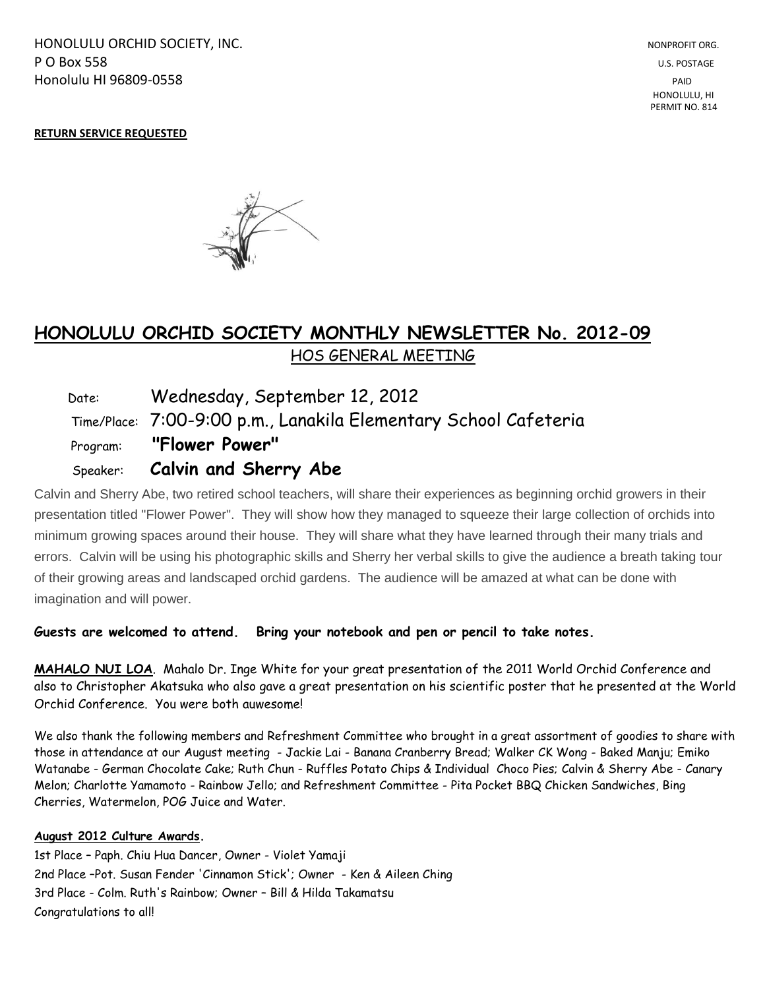HONOLULU ORCHID SOCIETY, INC. NONPROFIT ORG. NONPROFIT ORG. **P O Box 558** U.S. POSTAGE Honolulu HI 96809-0558 PAID

#### **RETURN SERVICE REQUESTED**



# **HONOLULU ORCHID SOCIETY MONTHLY NEWSLETTER No. 2012-09**  HOS GENERAL MEETING

 Date: Wednesday, September 12, 2012 Time/Place: 7:00-9:00 p.m., Lanakila Elementary School Cafeteria Program: **"Flower Power"** Speaker: **Calvin and Sherry Abe**

Calvin and Sherry Abe, two retired school teachers, will share their experiences as beginning orchid growers in their presentation titled "Flower Power". They will show how they managed to squeeze their large collection of orchids into minimum growing spaces around their house. They will share what they have learned through their many trials and errors. Calvin will be using his photographic skills and Sherry her verbal skills to give the audience a breath taking tour of their growing areas and landscaped orchid gardens. The audience will be amazed at what can be done with imagination and will power.

**Guests are welcomed to attend. Bring your notebook and pen or pencil to take notes.**

**MAHALO NUI LOA**. Mahalo Dr. Inge White for your great presentation of the 2011 World Orchid Conference and also to Christopher Akatsuka who also gave a great presentation on his scientific poster that he presented at the World Orchid Conference. You were both auwesome!

We also thank the following members and Refreshment Committee who brought in a great assortment of goodies to share with those in attendance at our August meeting - Jackie Lai - Banana Cranberry Bread; Walker CK Wong - Baked Manju; Emiko Watanabe - German Chocolate Cake; Ruth Chun - Ruffles Potato Chips & Individual Choco Pies; Calvin & Sherry Abe - Canary Melon; Charlotte Yamamoto - Rainbow Jello; and Refreshment Committee - Pita Pocket BBQ Chicken Sandwiches, Bing Cherries, Watermelon, POG Juice and Water.

#### **August 2012 Culture Awards.**

1st Place – Paph. Chiu Hua Dancer, Owner - Violet Yamaji 2nd Place –Pot. Susan Fender 'Cinnamon Stick'; Owner - Ken & Aileen Ching 3rd Place - Colm. Ruth's Rainbow; Owner – Bill & Hilda Takamatsu Congratulations to all!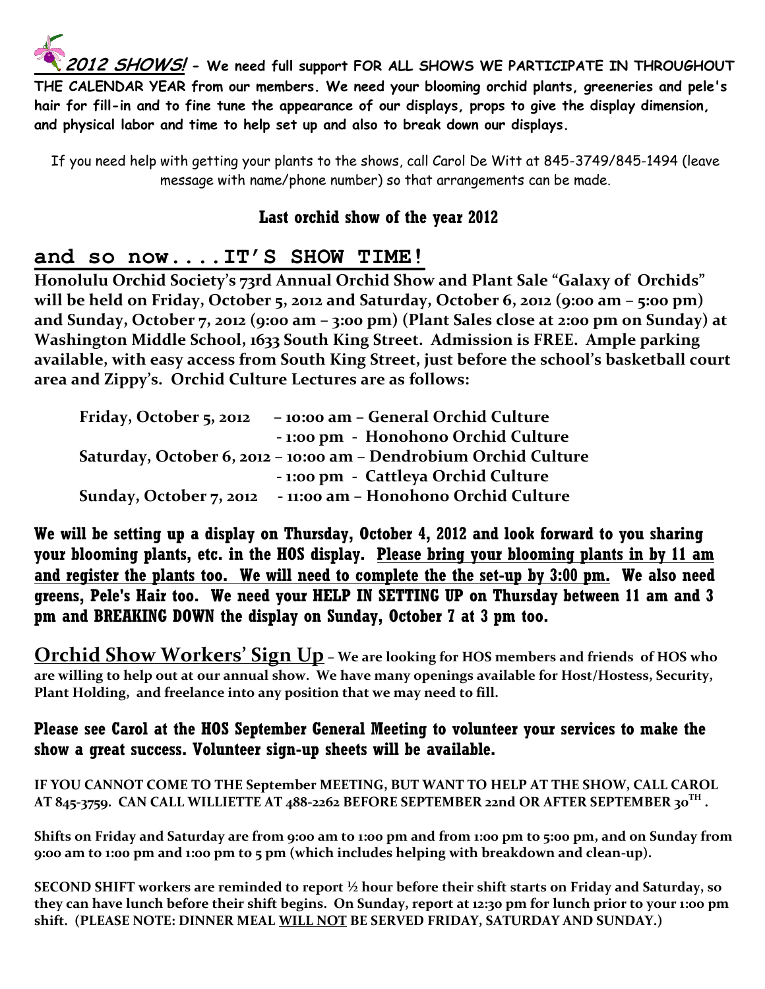**2012 SHOWS! - We need full support FOR ALL SHOWS WE PARTICIPATE IN THROUGHOUT THE CALENDAR YEAR from our members. We need your blooming orchid plants, greeneries and pele's hair for fill-in and to fine tune the appearance of our displays, props to give the display dimension, and physical labor and time to help set up and also to break down our displays.**

If you need help with getting your plants to the shows, call Carol De Witt at 845-3749/845-1494 (leave message with name/phone number) so that arrangements can be made.

# **Last orchid show of the year 2012**

# **and so now....IT'S SHOW TIME!**

**Honolulu Orchid Society's 73rd Annual Orchid Show and Plant Sale "Galaxy of Orchids" will be held on Friday, October 5, 2012 and Saturday, October 6, 2012 (9:00 am – 5:00 pm) and Sunday, October 7, 2012 (9:00 am – 3:00 pm) (Plant Sales close at 2:00 pm on Sunday) at Washington Middle School, 1633 South King Street. Admission is FREE. Ample parking available, with easy access from South King Street, just before the school's basketball court area and Zippy's. Orchid Culture Lectures are as follows:**

| Friday, October 5, 2012 | - 10:00 am - General Orchid Culture                              |
|-------------------------|------------------------------------------------------------------|
|                         | - 1:00 pm - Honohono Orchid Culture                              |
|                         | Saturday, October 6, 2012 - 10:00 am - Dendrobium Orchid Culture |
|                         | - 1:00 pm - Cattleya Orchid Culture                              |
| Sunday, October 7, 2012 | - 11:00 am - Honohono Orchid Culture                             |

**We will be setting up a display on Thursday, October 4, 2012 and look forward to you sharing your blooming plants, etc. in the HOS display. Please bring your blooming plants in by 11 am and register the plants too. We will need to complete the the set-up by 3:00 pm. We also need greens, Pele's Hair too. We need your HELP IN SETTING UP on Thursday between 11 am and 3 pm and BREAKING DOWN the display on Sunday, October 7 at 3 pm too.**

**Orchid Show Workers' Sign Up – We are looking for HOS members and friends of HOS who are willing to help out at our annual show. We have many openings available for Host/Hostess, Security, Plant Holding, and freelance into any position that we may need to fill.** 

### **Please see Carol at the HOS September General Meeting to volunteer your services to make the show a great success. Volunteer sign-up sheets will be available.**

**IF YOU CANNOT COME TO THE September MEETING, BUT WANT TO HELP AT THE SHOW, CALL CAROL AT 845-3759. CAN CALL WILLIETTE AT 488-2262 BEFORE SEPTEMBER 22nd OR AFTER SEPTEMBER 30TH .**

**Shifts on Friday and Saturday are from 9:00 am to 1:00 pm and from 1:00 pm to 5:00 pm, and on Sunday from 9:00 am to 1:00 pm and 1:00 pm to 5 pm (which includes helping with breakdown and clean-up).**

**SECOND SHIFT workers are reminded to report ½ hour before their shift starts on Friday and Saturday, so they can have lunch before their shift begins. On Sunday, report at 12:30 pm for lunch prior to your 1:00 pm shift. (PLEASE NOTE: DINNER MEAL WILL NOT BE SERVED FRIDAY, SATURDAY AND SUNDAY.)**